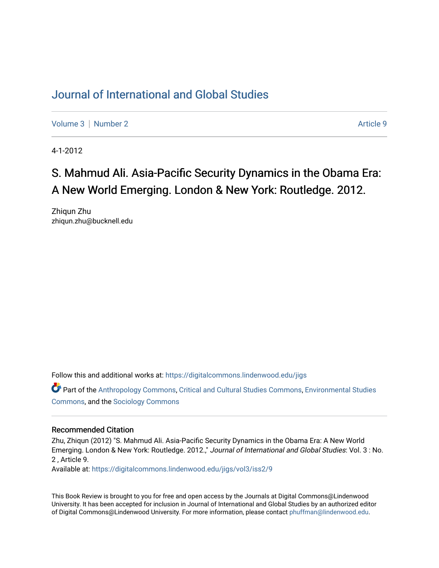## [Journal of International and Global Studies](https://digitalcommons.lindenwood.edu/jigs)

[Volume 3](https://digitalcommons.lindenwood.edu/jigs/vol3) | [Number 2](https://digitalcommons.lindenwood.edu/jigs/vol3/iss2) Article 9

4-1-2012

## S. Mahmud Ali. Asia-Pacific Security Dynamics in the Obama Era: A New World Emerging. London & New York: Routledge. 2012.

Zhiqun Zhu zhiqun.zhu@bucknell.edu

Follow this and additional works at: [https://digitalcommons.lindenwood.edu/jigs](https://digitalcommons.lindenwood.edu/jigs?utm_source=digitalcommons.lindenwood.edu%2Fjigs%2Fvol3%2Fiss2%2F9&utm_medium=PDF&utm_campaign=PDFCoverPages) 

Part of the [Anthropology Commons](http://network.bepress.com/hgg/discipline/318?utm_source=digitalcommons.lindenwood.edu%2Fjigs%2Fvol3%2Fiss2%2F9&utm_medium=PDF&utm_campaign=PDFCoverPages), [Critical and Cultural Studies Commons](http://network.bepress.com/hgg/discipline/328?utm_source=digitalcommons.lindenwood.edu%2Fjigs%2Fvol3%2Fiss2%2F9&utm_medium=PDF&utm_campaign=PDFCoverPages), [Environmental Studies](http://network.bepress.com/hgg/discipline/1333?utm_source=digitalcommons.lindenwood.edu%2Fjigs%2Fvol3%2Fiss2%2F9&utm_medium=PDF&utm_campaign=PDFCoverPages)  [Commons](http://network.bepress.com/hgg/discipline/1333?utm_source=digitalcommons.lindenwood.edu%2Fjigs%2Fvol3%2Fiss2%2F9&utm_medium=PDF&utm_campaign=PDFCoverPages), and the [Sociology Commons](http://network.bepress.com/hgg/discipline/416?utm_source=digitalcommons.lindenwood.edu%2Fjigs%2Fvol3%2Fiss2%2F9&utm_medium=PDF&utm_campaign=PDFCoverPages)

## Recommended Citation

Zhu, Zhiqun (2012) "S. Mahmud Ali. Asia-Pacific Security Dynamics in the Obama Era: A New World Emerging. London & New York: Routledge. 2012.," Journal of International and Global Studies: Vol. 3 : No. 2 , Article 9.

Available at: [https://digitalcommons.lindenwood.edu/jigs/vol3/iss2/9](https://digitalcommons.lindenwood.edu/jigs/vol3/iss2/9?utm_source=digitalcommons.lindenwood.edu%2Fjigs%2Fvol3%2Fiss2%2F9&utm_medium=PDF&utm_campaign=PDFCoverPages)

This Book Review is brought to you for free and open access by the Journals at Digital Commons@Lindenwood University. It has been accepted for inclusion in Journal of International and Global Studies by an authorized editor of Digital Commons@Lindenwood University. For more information, please contact [phuffman@lindenwood.edu](mailto:phuffman@lindenwood.edu).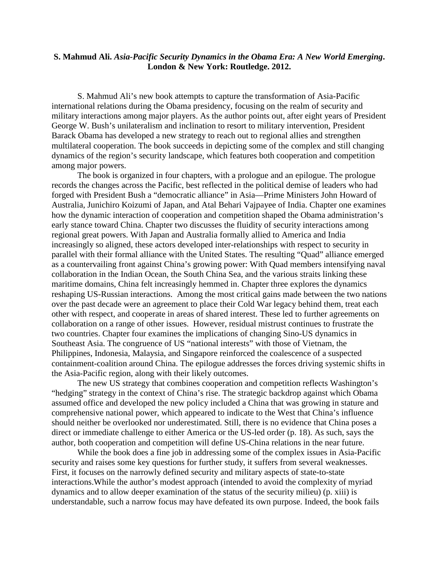## **S. Mahmud Ali.** *Asia-Pacific Security Dynamics in the Obama Era: A New World Emerging***. London & New York: Routledge. 2012.**

S. Mahmud Ali's new book attempts to capture the transformation of Asia-Pacific international relations during the Obama presidency, focusing on the realm of security and military interactions among major players. As the author points out, after eight years of President George W. Bush's unilateralism and inclination to resort to military intervention, President Barack Obama has developed a new strategy to reach out to regional allies and strengthen multilateral cooperation. The book succeeds in depicting some of the complex and still changing dynamics of the region's security landscape, which features both cooperation and competition among major powers.

The book is organized in four chapters, with a prologue and an epilogue. The prologue records the changes across the Pacific, best reflected in the political demise of leaders who had forged with President Bush a "democratic alliance" in Asia—Prime Ministers John Howard of Australia, Junichiro Koizumi of Japan, and Atal Behari Vajpayee of India. Chapter one examines how the dynamic interaction of cooperation and competition shaped the Obama administration's early stance toward China. Chapter two discusses the fluidity of security interactions among regional great powers. With Japan and Australia formally allied to America and India increasingly so aligned, these actors developed inter-relationships with respect to security in parallel with their formal alliance with the United States. The resulting "Quad" alliance emerged as a countervailing front against China's growing power: With Quad members intensifying naval collaboration in the Indian Ocean, the South China Sea, and the various straits linking these maritime domains, China felt increasingly hemmed in. Chapter three explores the dynamics reshaping US-Russian interactions. Among the most critical gains made between the two nations over the past decade were an agreement to place their Cold War legacy behind them, treat each other with respect, and cooperate in areas of shared interest. These led to further agreements on collaboration on a range of other issues. However, residual mistrust continues to frustrate the two countries. Chapter four examines the implications of changing Sino-US dynamics in Southeast Asia. The congruence of US "national interests" with those of Vietnam, the Philippines, Indonesia, Malaysia, and Singapore reinforced the coalescence of a suspected containment-coalition around China. The epilogue addresses the forces driving systemic shifts in the Asia-Pacific region, along with their likely outcomes.

The new US strategy that combines cooperation and competition reflects Washington's "hedging" strategy in the context of China's rise. The strategic backdrop against which Obama assumed office and developed the new policy included a China that was growing in stature and comprehensive national power, which appeared to indicate to the West that China's influence should neither be overlooked nor underestimated. Still, there is no evidence that China poses a direct or immediate challenge to either America or the US-led order (p. 18). As such, says the author, both cooperation and competition will define US-China relations in the near future.

While the book does a fine job in addressing some of the complex issues in Asia-Pacific security and raises some key questions for further study, it suffers from several weaknesses. First, it focuses on the narrowly defined security and military aspects of state-to-state interactions.While the author's modest approach (intended to avoid the complexity of myriad dynamics and to allow deeper examination of the status of the security milieu) (p. xiii) is understandable, such a narrow focus may have defeated its own purpose. Indeed, the book fails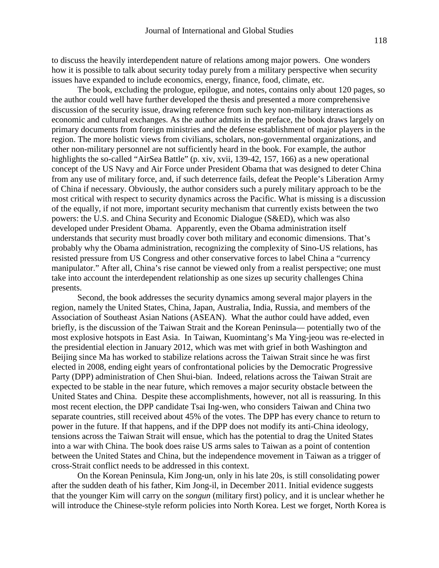to discuss the heavily interdependent nature of relations among major powers. One wonders how it is possible to talk about security today purely from a military perspective when security issues have expanded to include economics, energy, finance, food, climate, etc.

The book, excluding the prologue, epilogue, and notes, contains only about 120 pages, so the author could well have further developed the thesis and presented a more comprehensive discussion of the security issue, drawing reference from such key non-military interactions as economic and cultural exchanges. As the author admits in the preface, the book draws largely on primary documents from foreign ministries and the defense establishment of major players in the region. The more holistic views from civilians, scholars, non-governmental organizations, and other non-military personnel are not sufficiently heard in the book. For example, the author highlights the so-called "AirSea Battle" (p. xiv, xvii, 139-42, 157, 166) as a new operational concept of the US Navy and Air Force under President Obama that was designed to deter China from any use of military force, and, if such deterrence fails, defeat the People's Liberation Army of China if necessary. Obviously, the author considers such a purely military approach to be the most critical with respect to security dynamics across the Pacific. What is missing is a discussion of the equally, if not more, important security mechanism that currently exists between the two powers: the U.S. and China Security and Economic Dialogue (S&ED), which was also developed under President Obama. Apparently, even the Obama administration itself understands that security must broadly cover both military and economic dimensions. That's probably why the Obama administration, recognizing the complexity of Sino-US relations, has resisted pressure from US Congress and other conservative forces to label China a "currency manipulator." After all, China's rise cannot be viewed only from a realist perspective; one must take into account the interdependent relationship as one sizes up security challenges China presents.

Second, the book addresses the security dynamics among several major players in the region, namely the United States, China, Japan, Australia, India, Russia, and members of the Association of Southeast Asian Nations (ASEAN). What the author could have added, even briefly, is the discussion of the Taiwan Strait and the Korean Peninsula— potentially two of the most explosive hotspots in East Asia. In Taiwan, Kuomintang's Ma Ying-jeou was re-elected in the presidential election in January 2012, which was met with grief in both Washington and Beijing since Ma has worked to stabilize relations across the Taiwan Strait since he was first elected in 2008, ending eight years of confrontational policies by the Democratic Progressive Party (DPP) administration of Chen Shui-bian. Indeed, relations across the Taiwan Strait are expected to be stable in the near future, which removes a major security obstacle between the United States and China. Despite these accomplishments, however, not all is reassuring. In this most recent election, the DPP candidate Tsai Ing-wen, who considers Taiwan and China two separate countries, still received about 45% of the votes. The DPP has every chance to return to power in the future. If that happens, and if the DPP does not modify its anti-China ideology, tensions across the Taiwan Strait will ensue, which has the potential to drag the United States into a war with China. The book does raise US arms sales to Taiwan as a point of contention between the United States and China, but the independence movement in Taiwan as a trigger of cross-Strait conflict needs to be addressed in this context.

On the Korean Peninsula, Kim Jong-un, only in his late 20s, is still consolidating power after the sudden death of his father, Kim Jong-il, in December 2011. Initial evidence suggests that the younger Kim will carry on the *songun* (military first) policy, and it is unclear whether he will introduce the Chinese-style reform policies into North Korea. Lest we forget, North Korea is